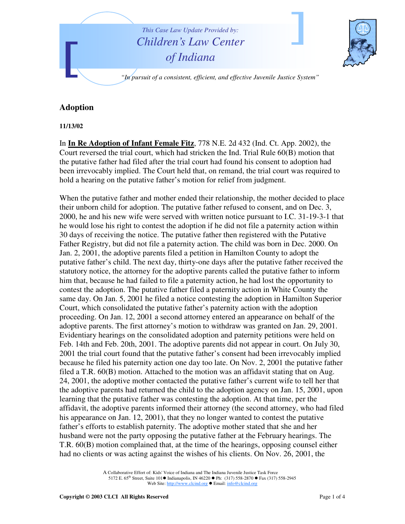

## **Adoption**

**11/13/02**

In **In Re Adoption of Infant Female Fitz**, 778 N.E. 2d 432 (Ind. Ct. App. 2002), the Court reversed the trial court, which had stricken the Ind. Trial Rule 60(B) motion that the putative father had filed after the trial court had found his consent to adoption had been irrevocably implied. The Court held that, on remand, the trial court was required to hold a hearing on the putative father's motion for relief from judgment.

When the putative father and mother ended their relationship, the mother decided to place their unborn child for adoption. The putative father refused to consent, and on Dec. 3, 2000, he and his new wife were served with written notice pursuant to I.C. 31-19-3-1 that he would lose his right to contest the adoption if he did not file a paternity action within 30 days of receiving the notice. The putative father then registered with the Putative Father Registry, but did not file a paternity action. The child was born in Dec. 2000. On Jan. 2, 2001, the adoptive parents filed a petition in Hamilton County to adopt the putative father's child. The next day, thirty-one days after the putative father received the statutory notice, the attorney for the adoptive parents called the putative father to inform him that, because he had failed to file a paternity action, he had lost the opportunity to contest the adoption. The putative father filed a paternity action in White County the same day. On Jan. 5, 2001 he filed a notice contesting the adoption in Hamilton Superior Court, which consolidated the putative father's paternity action with the adoption proceeding. On Jan. 12, 2001 a second attorney entered an appearance on behalf of the adoptive parents. The first attorney's motion to withdraw was granted on Jan. 29, 2001. Evidentiary hearings on the consolidated adoption and paternity petitions were held on Feb. 14th and Feb. 20th, 2001. The adoptive parents did not appear in court. On July 30, 2001 the trial court found that the putative father's consent had been irrevocably implied because he filed his paternity action one day too late. On Nov. 2, 2001 the putative father filed a T.R. 60(B) motion. Attached to the motion was an affidavit stating that on Aug. 24, 2001, the adoptive mother contacted the putative father's current wife to tell her that the adoptive parents had returned the child to the adoption agency on Jan. 15, 2001, upon learning that the putative father was contesting the adoption. At that time, per the affidavit, the adoptive parents informed their attorney (the second attorney, who had filed his appearance on Jan. 12, 2001), that they no longer wanted to contest the putative father's efforts to establish paternity. The adoptive mother stated that she and her husband were not the party opposing the putative father at the February hearings. The T.R. 60(B) motion complained that, at the time of the hearings, opposing counsel either had no clients or was acting against the wishes of his clients. On Nov. 26, 2001, the

> A Collaborative Effort of: Kids' Voice of Indiana and The Indiana Juvenile Justice Task Force 5172 E. 65<sup>th</sup> Street, Suite 101 ■ Indianapolis, IN 46220 ● Ph: (317) 558-2870 ● Fax (317) 558-2945 Web Site: http://www.clcind.org ● Email: info@clcind.org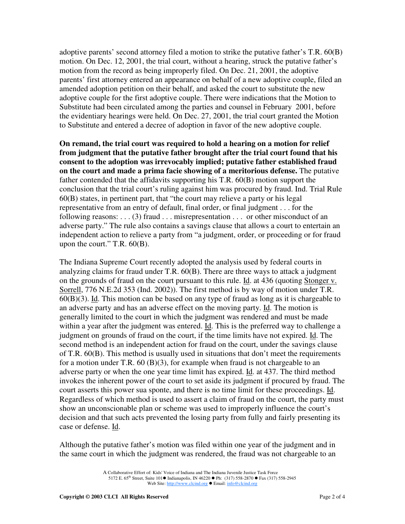adoptive parents' second attorney filed a motion to strike the putative father's T.R. 60(B) motion. On Dec. 12, 2001, the trial court, without a hearing, struck the putative father's motion from the record as being improperly filed. On Dec. 21, 2001, the adoptive parents' first attorney entered an appearance on behalf of a new adoptive couple, filed an amended adoption petition on their behalf, and asked the court to substitute the new adoptive couple for the first adoptive couple. There were indications that the Motion to Substitute had been circulated among the parties and counsel in February 2001, before the evidentiary hearings were held. On Dec. 27, 2001, the trial court granted the Motion to Substitute and entered a decree of adoption in favor of the new adoptive couple.

**On remand, the trial court was required to hold a hearing on a motion for relief from judgment that the putative father brought after the trial court found that his consent to the adoption was irrevocably implied; putative father established fraud on the court and made a prima facie showing of a meritorious defense.** The putative father contended that the affidavits supporting his T.R. 60(B) motion support the conclusion that the trial court's ruling against him was procured by fraud. Ind. Trial Rule 60(B) states, in pertinent part, that "the court may relieve a party or his legal representative from an entry of default, final order, or final judgment . . . for the following reasons:  $\dots$  (3) fraud  $\dots$  misrepresentation  $\dots$  or other misconduct of an adverse party." The rule also contains a savings clause that allows a court to entertain an independent action to relieve a party from "a judgment, order, or proceeding or for fraud upon the court." T.R. 60(B).

The Indiana Supreme Court recently adopted the analysis used by federal courts in analyzing claims for fraud under  $T.R. 60(B)$ . There are three ways to attack a judgment on the grounds of fraud on the court pursuant to this rule. Id. at 436 (quoting Stonger v. Sorrell, 776 N.E.2d 353 (Ind. 2002)). The first method is by way of motion under T.R. 60(B)(3). Id. This motion can be based on any type of fraud as long as it is chargeable to an adverse party and has an adverse effect on the moving party. Id. The motion is generally limited to the court in which the judgment was rendered and must be made within a year after the judgment was entered. Id. This is the preferred way to challenge a judgment on grounds of fraud on the court, if the time limits have not expired. Id. The second method is an independent action for fraud on the court, under the savings clause of T.R. 60(B). This method is usually used in situations that don't meet the requirements for a motion under T.R.  $60 \text{ (B)}(3)$ , for example when fraud is not chargeable to an adverse party or when the one year time limit has expired. Id. at 437. The third method invokes the inherent power of the court to set aside its judgment if procured by fraud. The court asserts this power sua sponte, and there is no time limit for these proceedings. Id. Regardless of which method is used to assert a claim of fraud on the court, the party must show an unconscionable plan or scheme was used to improperly influence the court's decision and that such acts prevented the losing party from fully and fairly presenting its case or defense. Id.

Although the putative father's motion was filed within one year of the judgment and in the same court in which the judgment was rendered, the fraud was not chargeable to an

A Collaborative Effort of: Kids' Voice of Indiana and The Indiana Juvenile Justice Task Force 5172 E. 65<sup>th</sup> Street, Suite 101 ■ Indianapolis, IN 46220 ● Ph: (317) 558-2870 ● Fax (317) 558-2945 Web Site: http://www.clcind.org ● Email: info@clcind.org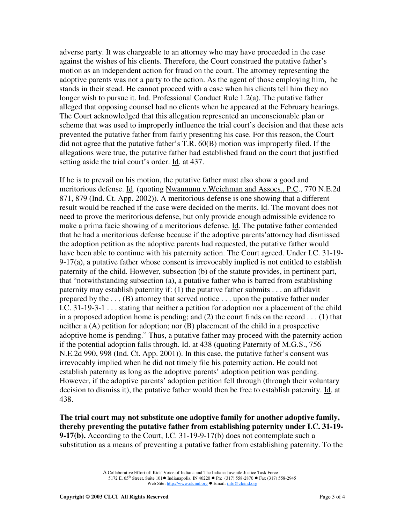adverse party. It was chargeable to an attorney who may have proceeded in the case against the wishes of his clients. Therefore, the Court construed the putative father's motion as an independent action for fraud on the court. The attorney representing the adoptive parents was not a party to the action. As the agent of those employing him, he stands in their stead. He cannot proceed with a case when his clients tell him they no longer wish to pursue it. Ind. Professional Conduct Rule 1.2(a). The putative father alleged that opposing counsel had no clients when he appeared at the February hearings. The Court acknowledged that this allegation represented an unconscionable plan or scheme that was used to improperly influence the trial court's decision and that these acts prevented the putative father from fairly presenting his case. For this reason, the Court did not agree that the putative father's T.R. 60(B) motion was improperly filed. If the allegations were true, the putative father had established fraud on the court that justified setting aside the trial court's order. Id. at 437.

If he is to prevail on his motion, the putative father must also show a good and meritorious defense. Id. (quoting Nwannunu v.Weichman and Assocs., P.C., 770 N.E.2d 871, 879 (Ind. Ct. App. 2002)). A meritorious defense is one showing that a different result would be reached if the case were decided on the merits. Id. The movant does not need to prove the meritorious defense, but only provide enough admissible evidence to make a prima facie showing of a meritorious defense. Id. The putative father contended that he had a meritorious defense because if the adoptive parents'attorney had dismissed the adoption petition as the adoptive parents had requested, the putative father would have been able to continue with his paternity action. The Court agreed. Under I.C. 31-19- 9-17(a), a putative father whose consent is irrevocably implied is not entitled to establish paternity of the child. However, subsection (b) of the statute provides, in pertinent part, that "notwithstanding subsection (a), a putative father who is barred from establishing paternity may establish paternity if: (1) the putative father submits . . . an affidavit prepared by the . . . (B) attorney that served notice . . . upon the putative father under I.C. 31-19-3-1 . . . stating that neither a petition for adoption nor a placement of the child in a proposed adoption home is pending; and (2) the court finds on the record . . . (1) that neither a (A) petition for adoption; nor (B) placement of the child in a prospective adoptive home is pending." Thus, a putative father may proceed with the paternity action if the potential adoption falls through. Id. at 438 (quoting Paternity of M.G.S., 756 N.E.2d 990, 998 (Ind. Ct. App. 2001)). In this case, the putative father's consent was irrevocably implied when he did not timely file his paternity action. He could not establish paternity as long as the adoptive parents' adoption petition was pending. However, if the adoptive parents' adoption petition fell through (through their voluntary decision to dismiss it), the putative father would then be free to establish paternity. Id. at 438.

**The trial court may not substitute one adoptive family for another adoptive family, thereby preventing the putative father from establishing paternity under I.C. 31-19- 9-17(b).** According to the Court, I.C. 31-19-9-17(b) does not contemplate such a substitution as a means of preventing a putative father from establishing paternity. To the

> A Collaborative Effort of: Kids' Voice of Indiana and The Indiana Juvenile Justice Task Force 5172 E. 65<sup>th</sup> Street, Suite 101 ■ Indianapolis, IN 46220 ● Ph: (317) 558-2870 ● Fax (317) 558-2945 Web Site: http://www.clcind.org ● Email: info@clcind.org